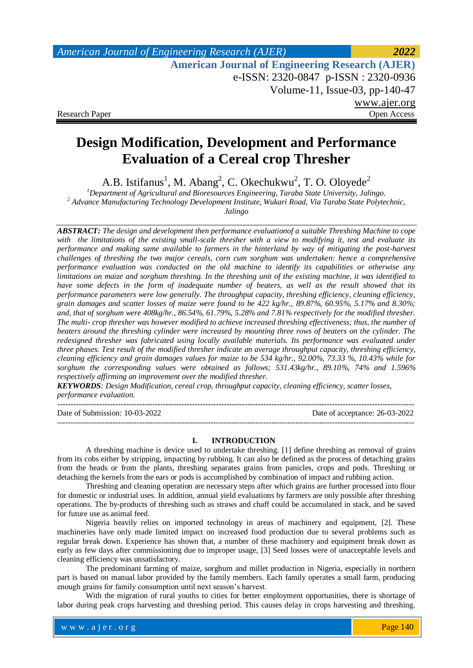# **Design Modification, Development and Performance Evaluation of a Cereal crop Thresher**

A.B. Istifanus<sup>1</sup>, M. Abang<sup>2</sup>, C. Okechukwu<sup>2</sup>, T. O. Oloyede<sup>2</sup>

*<sup>1</sup>Department of Agricultural and Bioresources Engineering, Taraba State University, Jalingo. <sup>2</sup> Advance Manufacturing Technology Development Institute, Wukari Road, Via Taraba State Polytechnic,* 

*Jalingo*

*ABSTRACT: The design and development then performance evaluationof a suitable Threshing Machine to cope with the limitations of the existing small-scale thresher with a view to modifying it, test and evaluate its performance and making same available to farmers in the hinterland by way of mitigating the post-harvest challenges of threshing the two major cereals, corn cum sorghum was undertaken: hence a comprehensive performance evaluation was conducted on the old machine to identify its capabilities or otherwise any limitations on maize and sorghum threshing. In the threshing unit of the existing machine, it was identified to have some defects in the form of inadequate number of beaters, as well as the result showed that its performance parameters were low generally. The throughput capacity, threshing efficiency, cleaning efficiency, grain damages and scatter losses of maize were found to be 422 kg/hr., 89.87%, 60.95%, 5.17% and 8.30%; and, that of sorghum were 408kg/hr., 86.54%, 61.79%, 5.28% and 7.81% respectively for the modified thresher. The multi- crop thresher was however modified to achieve increased threshing effectiveness; thus, the number of beaters around the threshing cylinder were increased by mounting three rows of beaters on the cylinder. The redesigned thresher was fabricated using locally available materials. Its performance was evaluated under three phases. Test result of the modified thresher indicate an average throughput capacity, threshing efficiency, cleaning efficiency and grain damages values for maize to be 534 kg/hr., 92.00%, 73.33 %, 10.43% while for sorghum the corresponding values were obtained as follows; 531.43kg/hr., 89.10%, 74% and 1.596% respectively affirming an improvement over the modified thresher.*

*KEYWORDS: Design Modification, cereal crop, throughput capacity, cleaning efficiency, scatter losses, performance evaluation.*

---------------------------------------------------------------------------------------------------------------------------------------

Date of Submission: 10-03-2022 Date of acceptance: 26-03-2022 ---------------------------------------------------------------------------------------------------------------------------------------

#### **I. INTRODUCTION**

A threshing machine is device used to undertake threshing. [1] define threshing as removal of grains from its cobs either by stripping, impacting by rubbing. It can also be defined as the process of detaching grains from the heads or from the plants, threshing separates grains from panicles, crops and pods. Threshing or detaching the kernels from the ears or pods is accomplished by combination of impact and rubbing action.

Threshing and cleaning operation are necessary steps after which grains are further processed into flour for domestic or industrial uses. In addition, annual yield evaluations by farmers are only possible after threshing operations. The by-products of threshing such as straws and chaff could be accumulated in stack, and be saved for future use as animal feed.

Nigeria heavily relies on imported technology in areas of machinery and equipment, [2]. These machineries have only made limited impact on increased food production due to several problems such as regular break down. Experience has shown that, a number of these machinery and equipment break down as early as few days after commissioning due to improper usage, [3] Seed losses were of unacceptable levels and cleaning efficiency was unsatisfactory.

The predominant farming of maize, sorghum and millet production in Nigeria, especially in northern part is based on manual labor provided by the family members. Each family operates a small farm, producing enough grains for family consumption until next season's harvest.

With the migration of rural youths to cities for better employment opportunities, there is shortage of labor during peak crops harvesting and threshing period. This causes delay in crops harvesting and threshing.

Page 140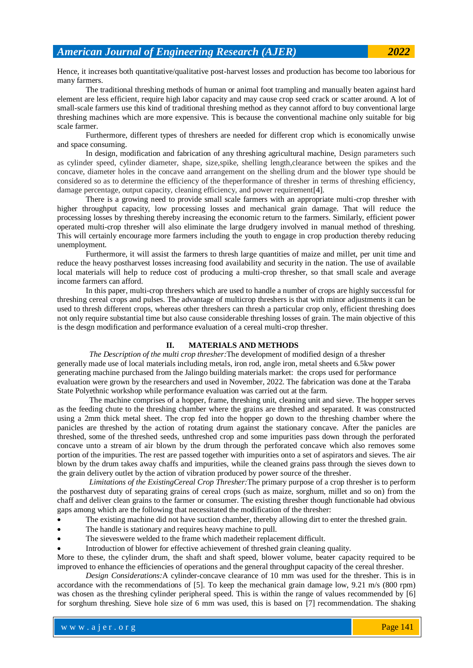Hence, it increases both quantitative/qualitative post-harvest losses and production has become too laborious for many farmers.

The traditional threshing methods of human or animal foot trampling and manually beaten against hard element are less efficient, require high labor capacity and may cause crop seed crack or scatter around. A lot of small-scale farmers use this kind of traditional threshing method as they cannot afford to buy conventional large threshing machines which are more expensive. This is because the conventional machine only suitable for big scale farmer.

Furthermore, different types of threshers are needed for different crop which is economically unwise and space consuming.

In design, modification and fabrication of any threshing agricultural machine, Design parameters such as cylinder speed, cylinder diameter, shape, size,spike, shelling length,clearance between the spikes and the concave, diameter holes in the concave aand arrangement on the shelling drum and the blower type should be considered so as to determine the efficiency of the theperformance of thresher in terms of threshing efficiency, damage percentage, output capacity, cleaning efficiency, and power requirement[4].

There is a growing need to provide small scale farmers with an appropriate multi-crop thresher with higher throughput capacity, low processing losses and mechanical grain damage. That will reduce the processing losses by threshing thereby increasing the economic return to the farmers. Similarly, efficient power operated multi-crop thresher will also eliminate the large drudgery involved in manual method of threshing. This will certainly encourage more farmers including the youth to engage in crop production thereby reducing unemployment.

Furthermore, it will assist the farmers to thresh large quantities of maize and millet, per unit time and reduce the heavy postharvest losses increasing food availability and security in the nation. The use of available local materials will help to reduce cost of producing a multi-crop thresher, so that small scale and average income farmers can afford.

In this paper, multi-crop threshers which are used to handle a number of crops are highly successful for threshing cereal crops and pulses. The advantage of multicrop threshers is that with minor adjustments it can be used to thresh different crops, whereas other threshers can thresh a particular crop only, efficient threshing does not only require substantial time but also cause considerable threshing losses of grain. The main objective of this is the desgn modification and performance evaluation of a cereal multi-crop thresher.

### **II. MATERIALS AND METHODS**

*The Description of the multi crop thresher:*The development of modified design of a thresher generally made use of local materials including metals, iron rod, angle iron, metal sheets and 6.5kw power generating machine purchased from the Jalingo building materials market: the crops used for performance evaluation were grown by the researchers and used in November, 2022. The fabrication was done at the Taraba State Polyethnic workshop while performance evaluation was carried out at the farm.

The machine comprises of a hopper, frame, threshing unit, cleaning unit and sieve. The hopper serves as the feeding chute to the threshing chamber where the grains are threshed and separated. It was constructed using a 2mm thick metal sheet. The crop fed into the hopper go down to the threshing chamber where the panicles are threshed by the action of rotating drum against the stationary concave. After the panicles are threshed, some of the threshed seeds, unthreshed crop and some impurities pass down through the perforated concave unto a stream of air blown by the drum through the perforated concave which also removes some portion of the impurities. The rest are passed together with impurities onto a set of aspirators and sieves. The air blown by the drum takes away chaffs and impurities, while the cleaned grains pass through the sieves down to the grain delivery outlet by the action of vibration produced by power source of the thresher.

*Limitations of the ExistingCereal Crop Thresher:*The primary purpose of a crop thresher is to perform the postharvest duty of separating grains of cereal crops (such as maize, sorghum, millet and so on) from the chaff and deliver clean grains to the farmer or consumer. The existing thresher though functionable had obvious gaps among which are the following that necessitated the modification of the thresher:

- The existing machine did not have suction chamber, thereby allowing dirt to enter the threshed grain.
- The handle is stationary and requires heavy machine to pull.
- The sieveswere welded to the frame which madetheir replacement difficult.
- Introduction of blower for effective achievement of threshed grain cleaning quality.

More to these, the cylinder drum, the shaft and shaft speed, blower volume, beater capacity required to be improved to enhance the efficiencies of operations and the general throughput capacity of the cereal thresher.

*Design Considerations:*A cylinder-concave clearance of 10 mm was used for the thresher. This is in accordance with the recommendations of [5]. To keep the mechanical grain damage low, 9.21 m/s (800 rpm) was chosen as the threshing cylinder peripheral speed. This is within the range of values recommended by [6] for sorghum threshing. Sieve hole size of 6 mm was used, this is based on [7] recommendation. The shaking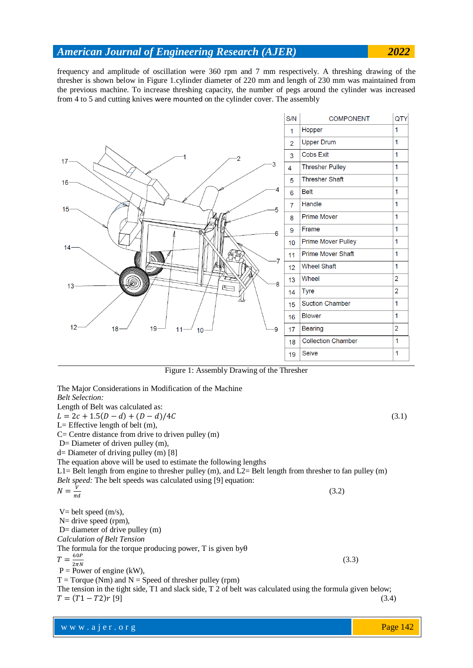frequency and amplitude of oscillation were 360 rpm and 7 mm respectively. A threshing drawing of the thresher is shown below in Figure 1.cylinder diameter of 220 mm and length of 230 mm was maintained from the previous machine. To increase threshing capacity, the number of pegs around the cylinder was increased from 4 to 5 and cutting knives were mounted on the cylinder cover. The assembly



Figure 1: Assembly Drawing of the Thresher

| The Major Considerations in Modification of the Machine                                                     |       |
|-------------------------------------------------------------------------------------------------------------|-------|
| <b>Belt Selection:</b>                                                                                      |       |
| Length of Belt was calculated as:                                                                           |       |
| $L = 2c + 1.5(D - d) + (D - d)/4C$                                                                          | (3.1) |
| $L=$ Effective length of belt $(m)$ ,                                                                       |       |
| $C =$ Centre distance from drive to driven pulley (m)                                                       |       |
| $D=$ Diameter of driven pulley (m),                                                                         |       |
| $d=$ Diameter of driving pulley (m) [8]                                                                     |       |
| The equation above will be used to estimate the following lengths                                           |       |
| L1= Belt length from engine to thresher pulley (m), and L2= Belt length from thresher to fan pulley (m)     |       |
| <i>Belt speed:</i> The belt speeds was calculated using [9] equation:                                       |       |
| $N = \frac{V}{\pi d}$<br>(3.2)                                                                              |       |
|                                                                                                             |       |
| $V = \text{belt speed (m/s)},$                                                                              |       |
| $N=$ drive speed (rpm),                                                                                     |       |
| $D=$ diameter of drive pulley (m)                                                                           |       |
| <b>Calculation of Belt Tension</b>                                                                          |       |
| The formula for the torque producing power, T is given by $\theta$                                          |       |
|                                                                                                             |       |
| $T = \frac{60P}{2\pi N}$<br>(3.3)                                                                           |       |
| $P = Power$ of engine (kW),                                                                                 |       |
| $T = T$ orque (Nm) and N = Speed of thresher pulley (rpm)                                                   |       |
| The tension in the tight side, T1 and slack side, T 2 of belt was calculated using the formula given below; |       |
| $T = (T1 - T2)r$ [9]<br>(3.4)                                                                               |       |
|                                                                                                             |       |

www.ajer.org

where  $\mathcal{L} = \mathcal{L} \left( \mathcal{L} \right)$  is the set of  $\mathcal{L} \left( \mathcal{L} \right)$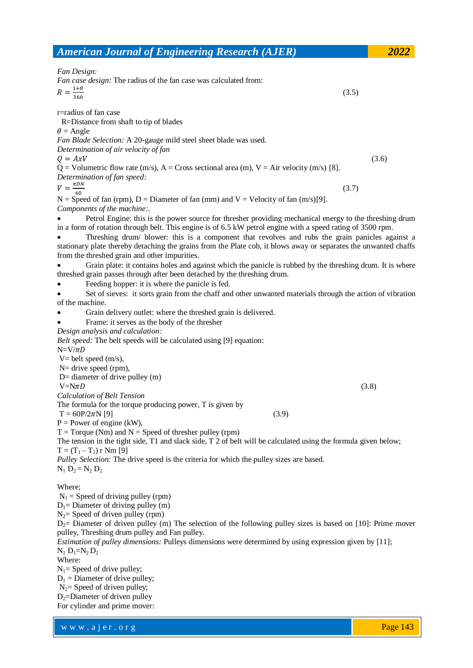*Fan Design: Fan case design:* The radius of the fan case was calculated from:  $R = \frac{1}{2}$ 360 (3.5) r=radius of fan case R=Distance from shaft to tip of blades  $\theta$  = Angle *Fan Blade Selection:* A 20-gauge mild steel sheet blade was used. *Determination of air velocity of fan*  $Q = AxV$  (3.6)  $Q =$  Volumetric flow rate (m/s),  $A =$  Cross sectional area (m),  $V =$  Air velocity (m/s) [8]. *Determination of fan speed:*  $V=\frac{\pi}{2}$ 60 (3.7)  $N =$  Speed of fan (rpm),  $D =$  Diameter of fan (mm) and  $V =$  Velocity of fan (m/s)[9]. *Components of the machine:.*  Petrol Engine: this is the power source for thresher providing mechanical energy to the threshing drum in a form of rotation through belt. This engine is of 6.5 kW petrol engine with a speed rating of 3500 rpm. Threshing drum/ blower: this is a component that revolves and rubs the grain panicles against a stationary plate thereby detaching the grains from the Plate cob, it blows away or separates the unwanted chaffs from the threshed grain and other impurities. Grain plate: it contains holes and against which the panicle is rubbed by the threshing drum. It is where threshed grain passes through after been detached by the threshing drum. Feeding hopper: it is where the panicle is fed. Set of sieves: it sorts grain from the chaff and other unwanted materials through the action of vibration of the machine. Grain delivery outlet: where the threshed grain is delivered. Frame: it serves as the body of the thresher *Design analysis and calculation: Belt speed:* The belt speeds will be calculated using [9] equation:  $N=V/\pi D$ V= belt speed (m/s), N= drive speed (rpm), D= diameter of drive pulley (m)  $V=N\pi D$  (3.8) *Calculation of Belt Tension* The formula for the torque producing power, T is given by  $T = 60P/2\pi N$  [9] (3.9)  $P = Power$  of engine (kW),  $T = T$ orque (Nm) and N = Speed of thresher pulley (rpm) The tension in the tight side, T1 and slack side, T 2 of belt will be calculated using the formula given below;  $T = (T_1 - T_2) r Nm [9]$ *Pulley Selection:* The drive speed is the criteria for which the pulley sizes are based.  $N_1$   $D_2 = N_2 D_2$ Where;  $N_1$  = Speed of driving pulley (rpm)  $D_1$ = Diameter of driving pulley (m)  $N_2$ = Speed of driven pulley (rpm)  $D_2$ = Diameter of driven pulley (m) The selection of the following pulley sizes is based on [10]: Prime mover pulley, Threshing drum pulley and Fan pulley. *Estimation of pulley dimensions:* Pulleys dimensions were determined by using expression given by [11];  $N_1$   $D_1 = N_2 D_2$ Where:

 $N_1$ = Speed of drive pulley;

 $D_1$  = Diameter of drive pulley;

 $N_2$ = Speed of driven pulley;

 $D_2$ =Diameter of driven pulley For cylinder and prime mover:

w w w . a j e r . o r g where  $\mathcal{L} = \mathcal{L} \left( \mathcal{L} \right)$  is the set of  $\mathcal{L} \left( \mathcal{L} \right)$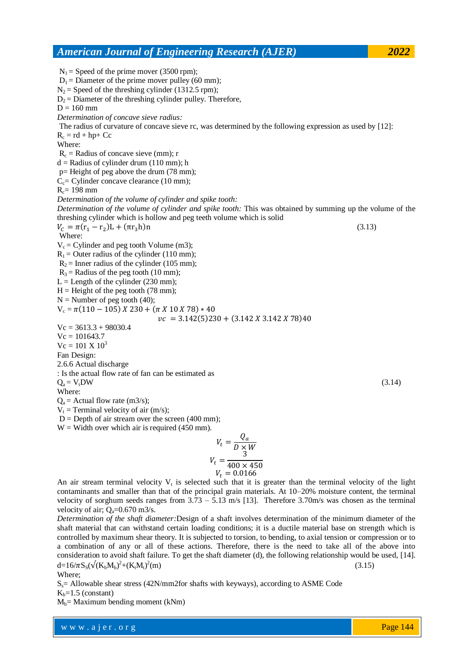$N_1$  = Speed of the prime mover (3500 rpm);  $D_1$  = Diameter of the prime mover pulley (60 mm);  $N_2$  = Speed of the threshing cylinder (1312.5 rpm);  $D_2$  = Diameter of the threshing cylinder pulley. Therefore,  $D = 160$  mm *Determination of concave sieve radius:* The radius of curvature of concave sieve rc, was determined by the following expression as used by [12]:  $R_c = rd + hp + Cc$ Where:  $R_c$  = Radius of concave sieve (mm); r  $d =$ Radius of cylinder drum (110 mm); h p= Height of peg above the drum (78 mm);  $C_c$ = Cylinder concave clearance (10 mm);  $R_c = 198$  mm *Determination of the volume of cylinder and spike tooth: Determination of the volume of cylinder and spike tooth:* This was obtained by summing up the volume of the threshing cylinder which is hollow and peg teeth volume which is solid  $V_c = \pi (r_1 - r_2)L + (\pi r_3 h)n$  (3.13) Where:  $V_c$  = Cylinder and peg tooth Volume (m3);  $R_1$  = Outer radius of the cylinder (110 mm);  $R_2$  = Inner radius of the cylinder (105 mm);  $R_3$  = Radius of the peg tooth (10 mm);  $L =$  Length of the cylinder (230 mm);  $H =$  Height of the peg tooth (78 mm);  $N =$  Number of peg tooth (40);  $V_c = \pi(110 - 105) X 230 + (\pi X 10 X 78) * 40$  $vc = 3.142(5)230 + (3.142 X 3.142 X 78)40$  $Vc = 3613.3 + 98030.4$  $Vc = 101643.7$  $Vc = 101 \times 10^3$ Fan Design: 2.6.6 Actual discharge : Is the actual flow rate of fan can be estimated as  $Q_{a} = V_{t}DW$  (3.14) Where:  $Q_a$  = Actual flow rate (m3/s);  $V_t$  = Terminal velocity of air (m/s);  $D =$  Depth of air stream over the screen (400 mm);  $W =$  Width over which air is required (450 mm).  $V_t = \frac{Q}{R}$ D  $V_t = \frac{1}{4}$ 3

 $V_t = 0.0166$ An air stream terminal velocity  $V_t$  is selected such that it is greater than the terminal velocity of the light contaminants and smaller than that of the principal grain materials. At 10–20% moisture content, the terminal velocity of sorghum seeds ranges from  $3.73 - 5.13$  m/s [13]. Therefore  $3.70$  m/s was chosen as the terminal velocity of air;  $Q_a = 0.670$  m $3/s$ .

*Determination of the shaft diameter:*Design of a shaft involves determination of the minimum diameter of the shaft material that can withstand certain loading conditions; it is a ductile material base on strength which is controlled by maximum shear theory. It is subjected to torsion, to bending, to axial tension or compression or to a combination of any or all of these actions. Therefore, there is the need to take all of the above into consideration to avoid shaft failure. To get the shaft diameter (d), the following relationship would be used, [14].  $d=16/\pi S_S(\sqrt{(K_bM_b)^2+(K_tM_t)^2})$ (m)  $(3.15)$ 

Where;

 $S_s$  Allowable shear stress (42N/mm2for shafts with keyways), according to ASME Code

 $K_b=1.5$  (constant)

 $M_b$ = Maximum bending moment (kNm)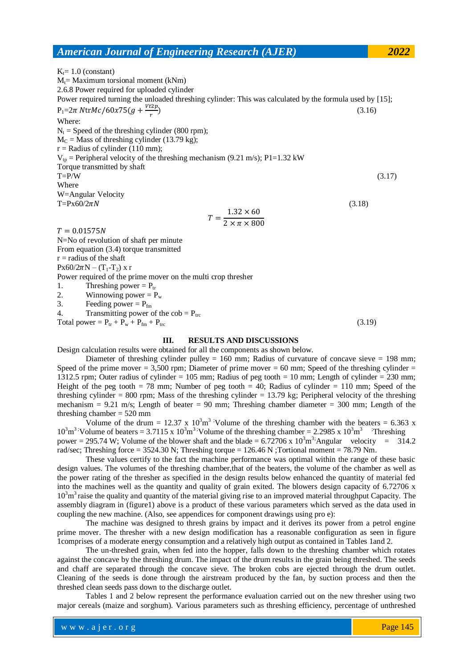$K_t = 1.0$  (constant)  $M_t$  = Maximum torsional moment (kNm) 2.6.8 Power required for uploaded cylinder Power required turning the unloaded threshing cylinder: This was calculated by the formula used by [15]; P<sub>1</sub>=2 $\pi$  NtrMc/60x75( $g$  +  $\frac{v}{\tau}$ r  $(3.16)$ Where:  $N_t$  = Speed of the threshing cylinder (800 rpm);  $M<sub>C</sub>$  = Mass of threshing cylinder (13.79 kg);  $r =$ Radius of cylinder (110 mm);  $V_{\text{tp}}$  = Peripheral velocity of the threshing mechanism (9.21 m/s); P1=1.32 kW Torque transmitted by shaft  $T = P/W$  (3.17) Where W=Angular Velocity  $T = Px60/2\pi N$  (3.18)  $T = \frac{1}{2}$  $\overline{\mathbf{c}}$  $T = 0.01575N$ N=No of revolution of shaft per minute From equation (3.4) torque transmitted  $r =$  radius of the shaft  $Px60/2\pi N - (T_1 - T_2)$  x r Power required of the prime mover on the multi crop thresher 1. Threshing power =  $P_{tr}$ <br>2. Winnowing power = F Winnowing power =  $P_w$ 3. Feeding power =  $P_{\text{fm}}$ 4. Transmitting power of the  $\cosh = P_{\text{trc}}$ Total power =  $P_{tr} + P_{w} + P_{fm} + P_{trc}$  (3.19)

#### **III. RESULTS AND DISCUSSIONS**

Design calculation results were obtained for all the components as shown below.

Diameter of threshing cylinder pulley  $= 160$  mm; Radius of curvature of concave sieve  $= 198$  mm; Speed of the prime mover  $= 3,500$  rpm; Diameter of prime mover  $= 60$  mm; Speed of the threshing cylinder  $=$ 1312.5 rpm; Outer radius of cylinder = 105 mm; Radius of peg tooth = 10 mm; Length of cylinder = 230 mm; Height of the peg tooth = 78 mm; Number of peg tooth = 40; Radius of cylinder = 110 mm; Speed of the threshing cylinder = 800 rpm; Mass of the threshing cylinder = 13.79 kg; Peripheral velocity of the threshing mechanism = 9.21 m/s; Length of beater = 90 mm; Threshing chamber diameter = 300 mm; Length of the threshing chamber  $= 520$  mm

Volume of the drum =  $12.37 \times 10^{3}$  Volume of the threshing chamber with the beaters = 6.363 x  $10^3$ m<sup>3</sup> Volume of beaters = 3.7115 x  $10^3$ m<sup>3</sup> Volume of the threshing chamber = 2.2985 x  $10^3$ m<sup>3</sup> Threshing power = 295.74 W; Volume of the blower shaft and the blade =  $6.72706 \times 10^3 \text{m}^3$ ; Angular velocity =  $314.2$ rad/sec; Threshing force = 3524.30 N; Threshing torque = 126.46 N ;Tortional moment = 78.79 Nm.

These values certify to the fact the machine performance was optimal within the range of these basic design values. The volumes of the threshing chamber,that of the beaters, the volume of the chamber as well as the power rating of the thresher as specified in the design results below enhanced the quantity of material fed into the machines well as the quantity and quality of grain exited. The blowers design capacity of 6.72706 x 10<sup>3</sup>m<sup>3</sup> raise the quality and quantity of the material giving rise to an improved material throughput Capacity. The assembly diagram in (figure1) above is a product of these various parameters which served as the data used in coupling the new machine. (Also, see appendices for component drawings using pro e):

The machine was designed to thresh grains by impact and it derives its power from a petrol engine prime mover. The thresher with a new design modification has a reasonable configuration as seen in figure 1comprises of a moderate energy consumption and a relatively high output as contained in Tables 1and 2.

The un-threshed grain, when fed into the hopper, falls down to the threshing chamber which rotates against the concave by the threshing drum. The impact of the drum results in the grain being threshed. The seeds and chaff are separated through the concave sieve. The broken cobs are ejected through the drum outlet. Cleaning of the seeds is done through the airstream produced by the fan, by suction process and then the threshed clean seeds pass down to the discharge outlet.

Tables 1 and 2 below represent the performance evaluation carried out on the new thresher using two major cereals (maize and sorghum). Various parameters such as threshing efficiency, percentage of unthreshed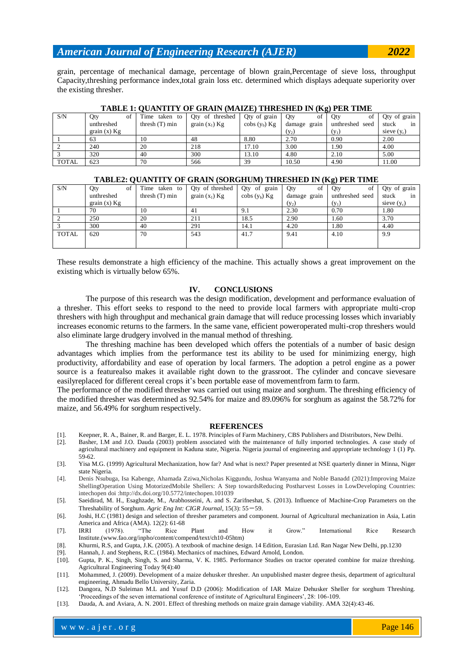grain, percentage of mechanical damage, percentage of blown grain,Percentage of sieve loss, throughput Capacity,threshing performance index,total grain loss etc. determined which displays adequate superiority over the existing thresher.

| S/N          | οf<br>Qty     | Time taken to    | of threshed<br>Oty | Qty of grain   | Qty<br>of       | Qty<br>ΟĪ          | Qty of grain  |
|--------------|---------------|------------------|--------------------|----------------|-----------------|--------------------|---------------|
|              | unthreshed    | thresh $(T)$ min | grain $(x_1)$ Kg   | $cobs(y_b)$ Kg | damage<br>grain | unthreshed<br>seed | stuck<br>1n   |
|              | $grain(x)$ Kg |                  |                    |                | $(y_2)$         | $(y_1)$            | sieve $(y_c)$ |
|              | 63            | 10               | 48                 | 8.80           | 2.70            | 0.90               | 2.00          |
|              | 240           | 20               | 218                | 17.10          | 3.00            | 1.90               | 4.00          |
|              | 320           | 40               | 300                | 13.10          | 4.80            | 2.10               | 5.00          |
| <b>TOTAL</b> | 623           | 70               | 566                | 39             | 10.50           | 4.90               | 11.00         |

#### **TABLE 1: QUANTITY OF GRAIN (MAIZE) THRESHED IN (Kg) PER TIME**

#### **TABLE2: QUANTITY OF GRAIN (SORGHUM) THRESHED IN (Kg) PER TIME**

| S/N          | of<br>Qty     | Time taken to    | Qty of threshed  | Qty of grain   | of<br>Qty    | Qty<br>οt       | Qty of grain  |
|--------------|---------------|------------------|------------------|----------------|--------------|-----------------|---------------|
|              | unthreshed    | thresh $(T)$ min | grain $(x_1)$ Kg | $cobs(y_b)$ Kg | damage grain | unthreshed seed | stuck<br>in   |
|              | $grain(x)$ Kg |                  |                  |                | $(y_2)$      | $(y_1)$         | sieve $(y_c)$ |
|              | 70            | 10               | -41              | 9.1            | 2.30         | 0.70            | 1.80          |
|              | 250           | 20               | 211              | 18.5           | 2.90         | 1.60            | 3.70          |
|              | 300           | 40               | 291              | 14.1           | 4.20         | 1.80            | 4.40          |
| <b>TOTAL</b> | 620           | 70               | 543              | 41.7           | 9.41         | 4.10            | 9.9           |
|              |               |                  |                  |                |              |                 |               |
|              |               |                  |                  |                |              |                 |               |

These results demonstrate a high efficiency of the machine. This actually shows a great improvement on the existing which is virtually below 65%.

#### **IV. CONCLUSIONS**

The purpose of this research was the design modification, development and performance evaluation of a thresher. This effort seeks to respond to the need to provide local farmers with appropriate multi-crop threshers with high throughput and mechanical grain damage that will reduce processing losses which invariably increases economic returns to the farmers. In the same vane, efficient poweroperated multi-crop threshers would also eliminate large drudgery involved in the manual method of threshing.

The threshing machine has been developed which offers the potentials of a number of basic design advantages which implies from the performance test its ability to be used for minimizing energy, high productivity, affordability and ease of operation by local farmers. The adoption a petrol engine as a power source is a featurealso makes it available right down to the grassroot. The cylinder and concave sievesare easilyreplaced for different cereal crops it's been portable ease of movementfrom farm to farm.

The performance of the modified thresher was carried out using maize and sorghum. The threshing efficiency of the modified thresher was determined as 92.54% for maize and 89.096% for sorghum as against the 58.72% for maize, and 56.49% for sorghum respectively.

#### **REFERENCES**

- [1]. Keepner, R. A., Bainer, R. and Barger, E. L. 1978. Principles of Farm Machinery, CBS Publishers and Distributors, New Delhi.
- [2]. Basher, I.M and J.O. Dauda (2003) problem associated with the maintenance of fully imported technologies. A case study of agricultural machinery and equipment in Kaduna state, Nigeria. Nigeria journal of engineering and appropriate technology 1 (1) Pp. 59-62.
- [3]. Yisa M.G. (1999) Agricultural Mechanization, how far? And what is next? Paper presented at NSE quarterly dinner in Minna, Niger state Nigeria.
- [4]. Denis Nsubuga, Isa Kabenge, Ahamada Zziwa,Nicholas Kiggundu, Joshua Wanyama and Noble Banadd (2021):Improving Maize ShellingOperation Using MotorizedMobile Shellers: A Step towardsReducing Postharvest Losses in LowDeveloping Countries: intechopen doi :http://dx.doi.org/10.5772/intechopen.101039
- [5]. Saeidirad, M. H., Esaghzade, M., Arabhosseini, A. and S. Zarifneshat, S. (2013). Influence of Machine-Crop Parameters on the Threshability of Sorghum. *Agric Eng Int: CIGR Journal*, 15(3): 55-59.
- [6]. Joshi, H.C (1981) design and selection of thresher parameters and component. Journal of Agricultural mechanization in Asia, Latin America and Africa (AMA). 12(2): 61-68<br>IRRI (1978). "The Rice
- [7]. IRRI (1978). "The Rice Plant and How it Grow." International Rice Research Institute.(www.fao.org/inpho/content/compend/text/ch10-05htm)
- [8]. Khurmi, R.S, and Gupta, J.K. (2005). A textbook of machine design. 14 Edition, Eurasian Ltd. Ran Nagar New Delhi, pp.1230
- [9]. Hannah, J. and Stephens, R.C. (1984). Mechanics of machines, Edward Arnold, London. [10]. Gupta, P. K., Singh, Singh, S. and Sharma, V. K. 1985. Performance Studies on tractor operated combine for maize threshing. Agricultural Engineering Today 9(4):40
- [11]. Mohammed, J. (2009). Development of a maize dehusker thresher. An unpublished master degree thesis, department of agricultural engineering, Ahmadu Bello University, Zaria.
- [12]. Dangora, N.D Suleiman M.L and Yusuf D.D (2006): Modification of IAR Maize Dehusker Sheller for sorghum Threshing. 'Proceedings of the seven international conference of institute of Agricultural Engineers', 28: 106-109.
- [13]. Dauda, A. and Aviara, A. N. 2001. Effect of threshing methods on maize grain damage viability. AMA 32(4):43-46.